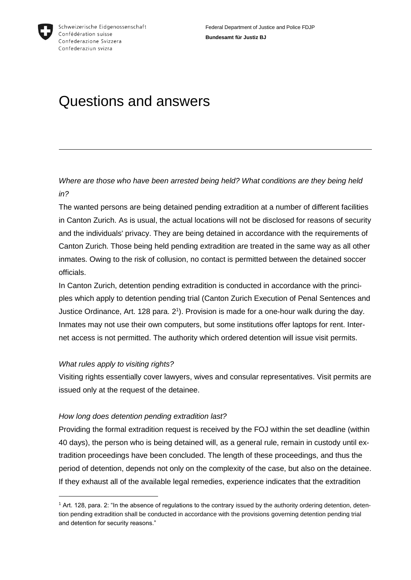

# Questions and answers

*Where are those who have been arrested being held? What conditions are they being held in?*

The wanted persons are being detained pending extradition at a number of different facilities in Canton Zurich. As is usual, the actual locations will not be disclosed for reasons of security and the individuals' privacy. They are being detained in accordance with the requirements of Canton Zurich. Those being held pending extradition are treated in the same way as all other inmates. Owing to the risk of collusion, no contact is permitted between the detained soccer officials.

In Canton Zurich, detention pending extradition is conducted in accordance with the principles which apply to detention pending trial (Canton Zurich Execution of Penal Sentences and Justice Ordinance, Art. 128 para. 2<sup>1</sup>). Provision is made for a one-hour walk during the day. Inmates may not use their own computers, but some institutions offer laptops for rent. Internet access is not permitted. The authority which ordered detention will issue visit permits.

### *What rules apply to visiting rights?*

1

Visiting rights essentially cover lawyers, wives and consular representatives. Visit permits are issued only at the request of the detainee.

### *How long does detention pending extradition last?*

Providing the formal extradition request is received by the FOJ within the set deadline (within 40 days), the person who is being detained will, as a general rule, remain in custody until extradition proceedings have been concluded. The length of these proceedings, and thus the period of detention, depends not only on the complexity of the case, but also on the detainee. If they exhaust all of the available legal remedies, experience indicates that the extradition

<sup>1</sup> Art. 128, para. 2: "In the absence of regulations to the contrary issued by the authority ordering detention, detention pending extradition shall be conducted in accordance with the provisions governing detention pending trial and detention for security reasons."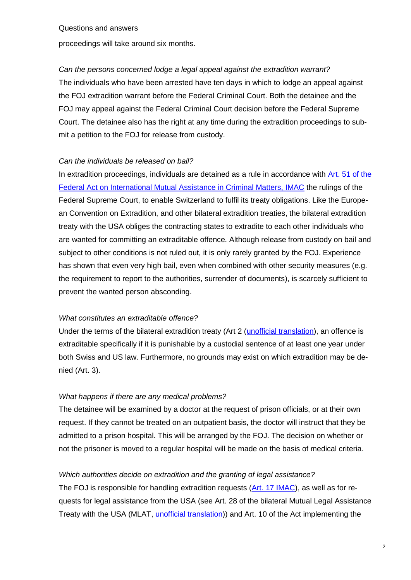Questions and answers

proceedings will take around six months.

## *Can the persons concerned lodge a legal appeal against the extradition warrant?*

The individuals who have been arrested have ten days in which to lodge an appeal against the FOJ extradition warrant before the Federal Criminal Court. Both the detainee and the FOJ may appeal against the Federal Criminal Court decision before the Federal Supreme Court. The detainee also has the right at any time during the extradition proceedings to submit a petition to the FOJ for release from custody.

#### *Can the individuals be released on bail?*

In extradition proceedings, individuals are detained as a rule in accordance with [Art. 51 of the](https://www.admin.ch/opc/en/classified-compilation/19810037/index.html#a51)  [Federal Act on International Mutual Assistance in Criminal Matters, IMAC](https://www.admin.ch/opc/en/classified-compilation/19810037/index.html#a51) the rulings of the Federal Supreme Court, to enable Switzerland to fulfil its treaty obligations. Like the European Convention on Extradition, and other bilateral extradition treaties, the bilateral extradition treaty with the USA obliges the contracting states to extradite to each other individuals who are wanted for committing an extraditable offence. Although release from custody on bail and subject to other conditions is not ruled out, it is only rarely granted by the FOJ. Experience has shown that even very high bail, even when combined with other security measures (e.g. the requirement to report to the authorities, surrender of documents), is scarcely sufficient to prevent the wanted person absconding.

### *What constitutes an extraditable offence?*

Under the terms of the bilateral extradition treaty (Art 2 [\(unofficial translation\)](http://www.mcnabbassociates.com/Switzerland%20International%20Extradition%20Treaty%20with%20the%20United%20States.pdf), an offence is extraditable specifically if it is punishable by a custodial sentence of at least one year under both Swiss and US law. Furthermore, no grounds may exist on which extradition may be denied (Art. 3).

### *What happens if there are any medical problems?*

The detainee will be examined by a doctor at the request of prison officials, or at their own request. If they cannot be treated on an outpatient basis, the doctor will instruct that they be admitted to a prison hospital. This will be arranged by the FOJ. The decision on whether or not the prisoner is moved to a regular hospital will be made on the basis of medical criteria.

### *Which authorities decide on extradition and the granting of legal assistance?*

The FOJ is responsible for handling extradition requests [\(Art. 17 IMAC\)](https://www.admin.ch/opc/en/classified-compilation/19810037/index.html#a17), as well as for requests for legal assistance from the USA (see Art. 28 of the bilateral Mutual Legal Assistance Treaty with the USA (MLAT, [unofficial translation\)](http://www.rhf.admin.ch/etc/medialib/data/rhf/recht.Par.0010.File.tmp/sr0-351-933-6-e.pdf)) and Art. 10 of the Act implementing the